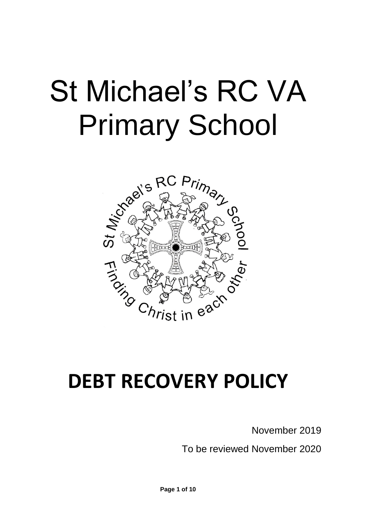# St Michael's RC VA Primary School



# **DEBT RECOVERY POLICY**

November 2019

To be reviewed November 2020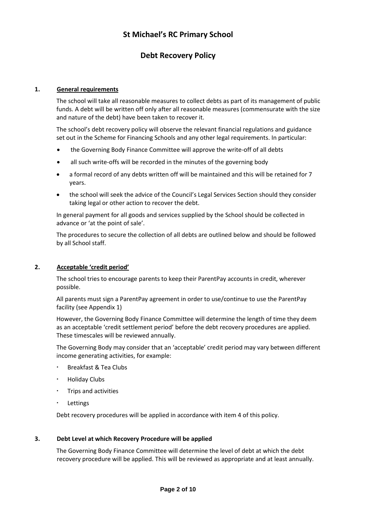# **St Michael's RC Primary School**

# **Debt Recovery Policy**

#### **1. General requirements**

The school will take all reasonable measures to collect debts as part of its management of public funds. A debt will be written off only after all reasonable measures (commensurate with the size and nature of the debt) have been taken to recover it.

The school's debt recovery policy will observe the relevant financial regulations and guidance set out in the Scheme for Financing Schools and any other legal requirements. In particular:

- the Governing Body Finance Committee will approve the write-off of all debts
- all such write-offs will be recorded in the minutes of the governing body
- a formal record of any debts written off will be maintained and this will be retained for 7 years.
- the school will seek the advice of the Council's Legal Services Section should they consider taking legal or other action to recover the debt.

In general payment for all goods and services supplied by the School should be collected in advance or 'at the point of sale'.

The procedures to secure the collection of all debts are outlined below and should be followed by all School staff.

#### **2. Acceptable 'credit period'**

The school tries to encourage parents to keep their ParentPay accounts in credit, wherever possible.

All parents must sign a ParentPay agreement in order to use/continue to use the ParentPay facility (see Appendix 1)

However, the Governing Body Finance Committee will determine the length of time they deem as an acceptable 'credit settlement period' before the debt recovery procedures are applied. These timescales will be reviewed annually.

The Governing Body may consider that an 'acceptable' credit period may vary between different income generating activities, for example:

- Breakfast & Tea Clubs
- Holiday Clubs
- Trips and activities
- Lettings

Debt recovery procedures will be applied in accordance with item 4 of this policy.

#### **3. Debt Level at which Recovery Procedure will be applied**

The Governing Body Finance Committee will determine the level of debt at which the debt recovery procedure will be applied. This will be reviewed as appropriate and at least annually.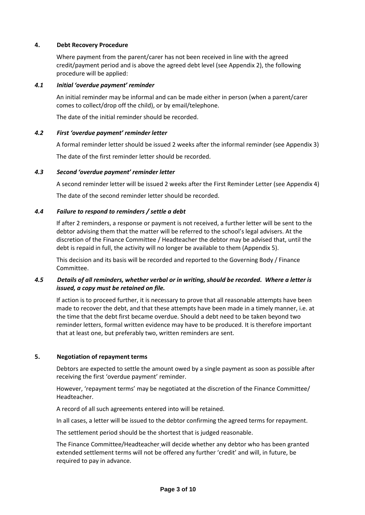#### **4. Debt Recovery Procedure**

Where payment from the parent/carer has not been received in line with the agreed credit/payment period and is above the agreed debt level (see Appendix 2), the following procedure will be applied:

#### *4.1 Initial 'overdue payment' reminder*

An initial reminder may be informal and can be made either in person (when a parent/carer comes to collect/drop off the child), or by email/telephone.

The date of the initial reminder should be recorded.

#### *4.2 First 'overdue payment' reminder letter*

A formal reminder letter should be issued 2 weeks after the informal reminder (see Appendix 3) The date of the first reminder letter should be recorded.

#### *4.3 Second 'overdue payment' reminder letter*

A second reminder letter will be issued 2 weeks after the First Reminder Letter (see Appendix 4) The date of the second reminder letter should be recorded.

#### *4.4 Failure to respond to reminders / settle a debt*

If after 2 reminders, a response or payment is not received, a further letter will be sent to the debtor advising them that the matter will be referred to the school's legal advisers. At the discretion of the Finance Committee / Headteacher the debtor may be advised that, until the debt is repaid in full, the activity will no longer be available to them (Appendix 5).

This decision and its basis will be recorded and reported to the Governing Body / Finance Committee.

#### *4.5 Details of all reminders, whether verbal or in writing, should be recorded. Where a letter is issued, a copy must be retained on file.*

If action is to proceed further, it is necessary to prove that all reasonable attempts have been made to recover the debt, and that these attempts have been made in a timely manner, i.e. at the time that the debt first became overdue. Should a debt need to be taken beyond two reminder letters, formal written evidence may have to be produced. It is therefore important that at least one, but preferably two, written reminders are sent.

#### **5. Negotiation of repayment terms**

Debtors are expected to settle the amount owed by a single payment as soon as possible after receiving the first 'overdue payment' reminder.

However, 'repayment terms' may be negotiated at the discretion of the Finance Committee/ Headteacher.

A record of all such agreements entered into will be retained.

In all cases, a letter will be issued to the debtor confirming the agreed terms for repayment.

The settlement period should be the shortest that is judged reasonable.

The Finance Committee/Headteacher will decide whether any debtor who has been granted extended settlement terms will not be offered any further 'credit' and will, in future, be required to pay in advance.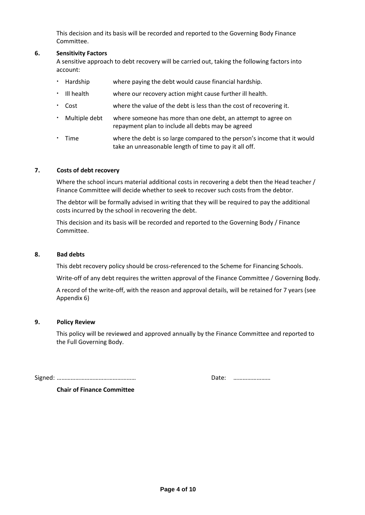This decision and its basis will be recorded and reported to the Governing Body Finance Committee.

#### **6. Sensitivity Factors**

A sensitive approach to debt recovery will be carried out, taking the following factors into account:

- Hardship where paying the debt would cause financial hardship.
- Ill health where our recovery action might cause further ill health.
- Cost where the value of the debt is less than the cost of recovering it.
- Multiple debt where someone has more than one debt, an attempt to agree on repayment plan to include all debts may be agreed
- Time where the debt is so large compared to the person's income that it would take an unreasonable length of time to pay it all off.

#### **7. Costs of debt recovery**

Where the school incurs material additional costs in recovering a debt then the Head teacher / Finance Committee will decide whether to seek to recover such costs from the debtor.

The debtor will be formally advised in writing that they will be required to pay the additional costs incurred by the school in recovering the debt.

This decision and its basis will be recorded and reported to the Governing Body / Finance Committee.

#### **8. Bad debts**

This debt recovery policy should be cross-referenced to the Scheme for Financing Schools.

Write-off of any debt requires the written approval of the Finance Committee / Governing Body.

A record of the write-off, with the reason and approval details, will be retained for 7 years (see Appendix 6)

#### **9. Policy Review**

This policy will be reviewed and approved annually by the Finance Committee and reported to the Full Governing Body.

Signed: …………………………………………… Date: ……………………

**Chair of Finance Committee**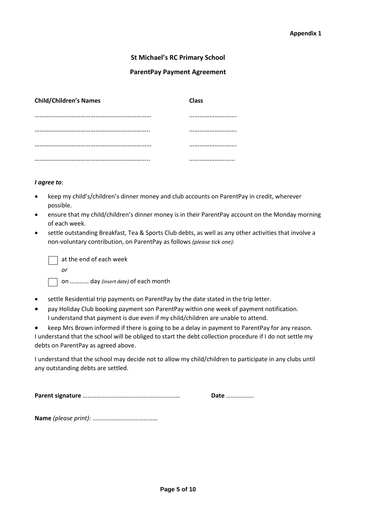#### **St Michael's RC Primary School**

#### **ParentPay Payment Agreement**

| <b>Child/Children's Names</b> | <b>Class</b> |
|-------------------------------|--------------|
|                               |              |
|                               |              |
|                               |              |
|                               |              |

#### *I agree to*:

- keep my child's/children's dinner money and club accounts on ParentPay in credit, wherever possible.
- ensure that my child/children's dinner money is in their ParentPay account on the Monday morning of each week.
- settle outstanding Breakfast, Tea & Sports Club debts, as well as any other activities that involve a non-voluntary contribution, on ParentPay as follows *(please tick one):*

 at the end of each week *or*

on ………… day *(insert date)* of each month

- settle Residential trip payments on ParentPay by the date stated in the trip letter.
- pay Holiday Club booking payment son ParentPay within one week of payment notification. I understand that payment is due even if my child/children are unable to attend.
- keep Mrs Brown informed if there is going to be a delay in payment to ParentPay for any reason. I understand that the school will be obliged to start the debt collection procedure if I do not settle my debts on ParentPay as agreed above.

I understand that the school may decide not to allow my child/children to participate in any clubs until any outstanding debts are settled.

**Parent signature** ……………………………………………………… **Date** ………………

**Name** *(please print):* ……………………………………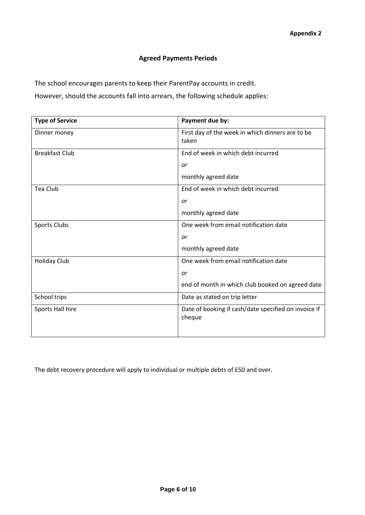### **Agreed Payments Periods**

The school encourages parents to keep their ParentPay accounts in credit.

However, should the accounts fall into arrears, the following schedule applies:

| <b>Type of Service</b> | Payment due by:                                                |  |  |
|------------------------|----------------------------------------------------------------|--|--|
| Dinner money           | First day of the week in which dinners are to be<br>taken      |  |  |
| <b>Breakfast Club</b>  | End of week in which debt incurred                             |  |  |
|                        | or                                                             |  |  |
|                        | monthly agreed date                                            |  |  |
| Tea Club               | End of week in which debt incurred                             |  |  |
|                        | or                                                             |  |  |
|                        | monthly agreed date                                            |  |  |
| Sports Clubs           | One week from email notification date                          |  |  |
|                        | or                                                             |  |  |
|                        | monthly agreed date                                            |  |  |
| <b>Holiday Club</b>    | One week from email notification date                          |  |  |
|                        | or                                                             |  |  |
|                        | end of month in which club booked on agreed date               |  |  |
| School trips           | Date as stated on trip letter                                  |  |  |
| Sports Hall hire       | Date of booking if cash/date specified on invoice if<br>cheque |  |  |

The debt recovery procedure will apply to individual or multiple debts of £50 and over.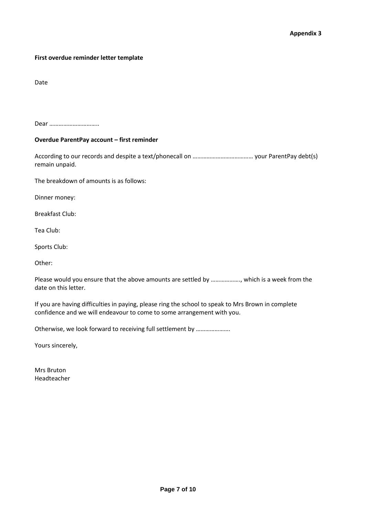#### **First overdue reminder letter template**

Date

Dear …………………………..

#### **Overdue ParentPay account – first reminder**

According to our records and despite a text/phonecall on ………………………………… your ParentPay debt(s) remain unpaid.

The breakdown of amounts is as follows:

Dinner money:

Breakfast Club:

Tea Club:

Sports Club:

Other:

Please would you ensure that the above amounts are settled by ………………., which is a week from the date on this letter.

If you are having difficulties in paying, please ring the school to speak to Mrs Brown in complete confidence and we will endeavour to come to some arrangement with you.

Otherwise, we look forward to receiving full settlement by ………………….

Yours sincerely,

Mrs Bruton Headteacher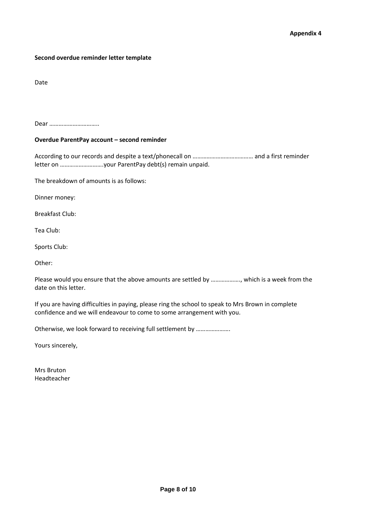#### **Second overdue reminder letter template**

Date

Dear …………………………..

#### **Overdue ParentPay account – second reminder**

According to our records and despite a text/phonecall on ………………………………… and a first reminder letter on ……………………….your ParentPay debt(s) remain unpaid.

The breakdown of amounts is as follows:

Dinner money:

Breakfast Club:

Tea Club:

Sports Club:

Other:

Please would you ensure that the above amounts are settled by ………………., which is a week from the date on this letter.

If you are having difficulties in paying, please ring the school to speak to Mrs Brown in complete confidence and we will endeavour to come to some arrangement with you.

Otherwise, we look forward to receiving full settlement by ………………….

Yours sincerely,

Mrs Bruton Headteacher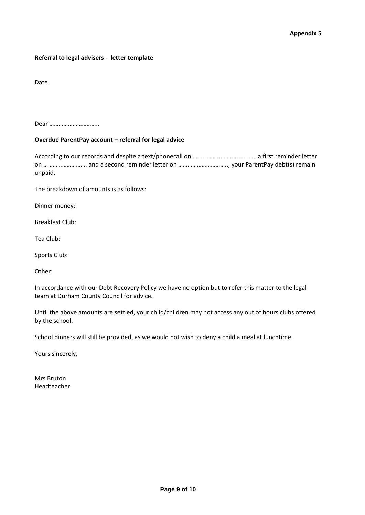#### **Referral to legal advisers - letter template**

Date

Dear …………………………..

#### **Overdue ParentPay account – referral for legal advice**

According to our records and despite a text/phonecall on …………………………………, a first reminder letter on ………………………. and a second reminder letter on ………………………….., your ParentPay debt(s) remain unpaid.

The breakdown of amounts is as follows:

Dinner money:

Breakfast Club:

Tea Club:

Sports Club:

Other:

In accordance with our Debt Recovery Policy we have no option but to refer this matter to the legal team at Durham County Council for advice.

Until the above amounts are settled, your child/children may not access any out of hours clubs offered by the school.

School dinners will still be provided, as we would not wish to deny a child a meal at lunchtime.

Yours sincerely,

Mrs Bruton Headteacher